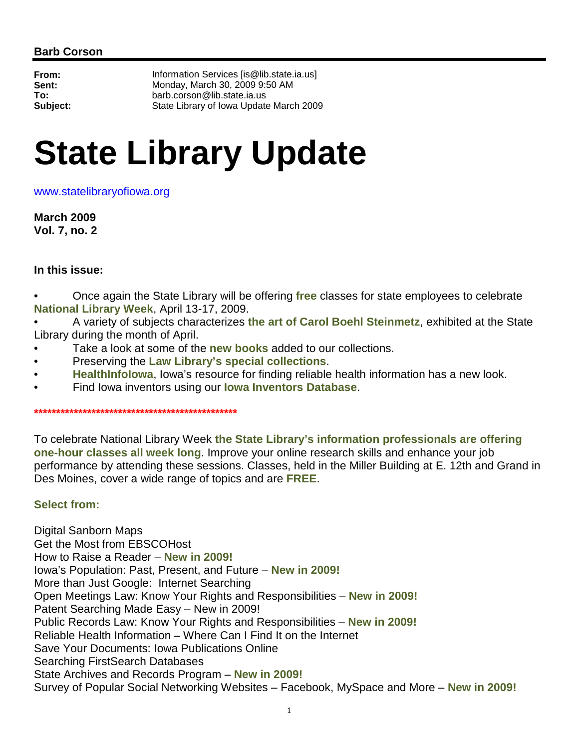**From:** Information Services [is@lib.state.ia.us] **Sent:** Monday, March 30, 2009 9:50 AM **To:** barb.corson@lib.state.ia.us **Subject:** State Library of Iowa Update March 2009

# **State Library Update**

www.statelibraryofiowa.org

**March 2009 Vol. 7, no. 2** 

## **In this issue:**

• Once again the State Library will be offering **free** classes for state employees to celebrate **National Library Week**, April 13-17, 2009.

• A variety of subjects characterizes **the art of Carol Boehl Steinmetz**, exhibited at the State Library during the month of April.

- Take a look at some of the **new books** added to our collections.
- Preserving the **Law Library's special collections**.
- **HealthInfoIowa**, Iowa's resource for finding reliable health information has a new look.
- Find Iowa inventors using our **Iowa Inventors Database**.

**\*\*\*\*\*\*\*\*\*\*\*\*\*\*\*\*\*\*\*\*\*\*\*\*\*\*\*\*\*\*\*\*\*\*\*\*\*\*\*\*\*\*\*\*\*\*** 

To celebrate National Library Week **the State Library's information professionals are offering one-hour classes all week long**. Improve your online research skills and enhance your job performance by attending these sessions. Classes, held in the Miller Building at E. 12th and Grand in Des Moines, cover a wide range of topics and are **FREE**.

# **Select from:**

Digital Sanborn Maps Get the Most from EBSCOHost How to Raise a Reader – **New in 2009!** Iowa's Population: Past, Present, and Future – **New in 2009!** More than Just Google: Internet Searching Open Meetings Law: Know Your Rights and Responsibilities – **New in 2009!** Patent Searching Made Easy – New in 2009! Public Records Law: Know Your Rights and Responsibilities – **New in 2009!** Reliable Health Information – Where Can I Find It on the Internet Save Your Documents: Iowa Publications Online Searching FirstSearch Databases State Archives and Records Program – **New in 2009!**  Survey of Popular Social Networking Websites – Facebook, MySpace and More – **New in 2009!**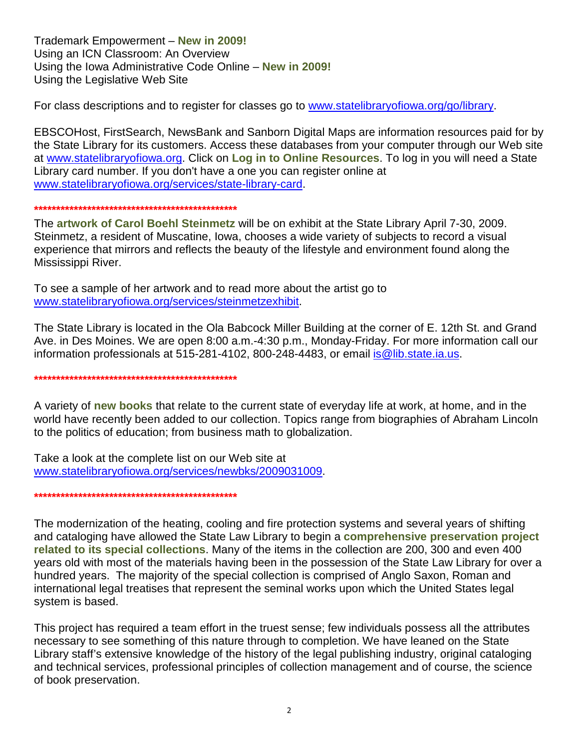Trademark Empowerment – **New in 2009!** Using an ICN Classroom: An Overview Using the Iowa Administrative Code Online – **New in 2009!**  Using the Legislative Web Site

For class descriptions and to register for classes go to www.statelibraryofiowa.org/go/library.

EBSCOHost, FirstSearch, NewsBank and Sanborn Digital Maps are information resources paid for by the State Library for its customers. Access these databases from your computer through our Web site at www.statelibraryofiowa.org. Click on **Log in to Online Resources**. To log in you will need a State Library card number. If you don't have a one you can register online at www.statelibraryofiowa.org/services/state-library-card.

#### **\*\*\*\*\*\*\*\*\*\*\*\*\*\*\*\*\*\*\*\*\*\*\*\*\*\*\*\*\*\*\*\*\*\*\*\*\*\*\*\*\*\*\*\*\*\***

The **artwork of Carol Boehl Steinmetz** will be on exhibit at the State Library April 7-30, 2009. Steinmetz, a resident of Muscatine, Iowa, chooses a wide variety of subjects to record a visual experience that mirrors and reflects the beauty of the lifestyle and environment found along the Mississippi River.

To see a sample of her artwork and to read more about the artist go to www.statelibraryofiowa.org/services/steinmetzexhibit.

The State Library is located in the Ola Babcock Miller Building at the corner of E. 12th St. and Grand Ave. in Des Moines. We are open 8:00 a.m.-4:30 p.m., Monday-Friday. For more information call our information professionals at 515-281-4102, 800-248-4483, or email is @lib.state.ia.us.

**\*\*\*\*\*\*\*\*\*\*\*\*\*\*\*\*\*\*\*\*\*\*\*\*\*\*\*\*\*\*\*\*\*\*\*\*\*\*\*\*\*\*\*\*\*\*** 

A variety of **new books** that relate to the current state of everyday life at work, at home, and in the world have recently been added to our collection. Topics range from biographies of Abraham Lincoln to the politics of education; from business math to globalization.

Take a look at the complete list on our Web site at www.statelibraryofiowa.org/services/newbks/2009031009.

**\*\*\*\*\*\*\*\*\*\*\*\*\*\*\*\*\*\*\*\*\*\*\*\*\*\*\*\*\*\*\*\*\*\*\*\*\*\*\*\*\*\*\*\*\*\*** 

The modernization of the heating, cooling and fire protection systems and several years of shifting and cataloging have allowed the State Law Library to begin a **comprehensive preservation project related to its special collections**. Many of the items in the collection are 200, 300 and even 400 years old with most of the materials having been in the possession of the State Law Library for over a hundred years. The majority of the special collection is comprised of Anglo Saxon, Roman and international legal treatises that represent the seminal works upon which the United States legal system is based.

This project has required a team effort in the truest sense; few individuals possess all the attributes necessary to see something of this nature through to completion. We have leaned on the State Library staff's extensive knowledge of the history of the legal publishing industry, original cataloging and technical services, professional principles of collection management and of course, the science of book preservation.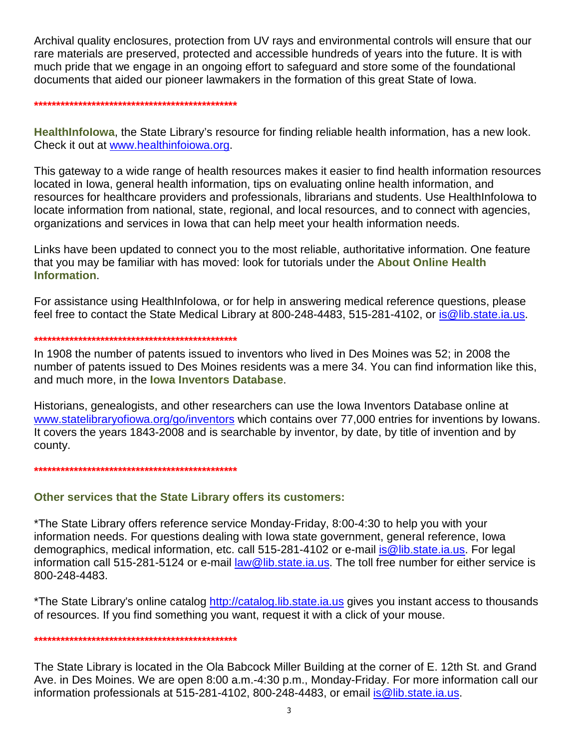Archival quality enclosures, protection from UV rays and environmental controls will ensure that our rare materials are preserved, protected and accessible hundreds of years into the future. It is with much pride that we engage in an ongoing effort to safeguard and store some of the foundational documents that aided our pioneer lawmakers in the formation of this great State of Iowa.

#### **\*\*\*\*\*\*\*\*\*\*\*\*\*\*\*\*\*\*\*\*\*\*\*\*\*\*\*\*\*\*\*\*\*\*\*\*\*\*\*\*\*\*\*\*\*\***

**HealthInfoIowa**, the State Library's resource for finding reliable health information, has a new look. Check it out at www.healthinfoiowa.org.

This gateway to a wide range of health resources makes it easier to find health information resources located in Iowa, general health information, tips on evaluating online health information, and resources for healthcare providers and professionals, librarians and students. Use HealthInfoIowa to locate information from national, state, regional, and local resources, and to connect with agencies, organizations and services in Iowa that can help meet your health information needs.

Links have been updated to connect you to the most reliable, authoritative information. One feature that you may be familiar with has moved: look for tutorials under the **About Online Health Information**.

For assistance using HealthInfoIowa, or for help in answering medical reference questions, please feel free to contact the State Medical Library at 800-248-4483, 515-281-4102, or is @lib.state.ia.us.

### **\*\*\*\*\*\*\*\*\*\*\*\*\*\*\*\*\*\*\*\*\*\*\*\*\*\*\*\*\*\*\*\*\*\*\*\*\*\*\*\*\*\*\*\*\*\***

In 1908 the number of patents issued to inventors who lived in Des Moines was 52; in 2008 the number of patents issued to Des Moines residents was a mere 34. You can find information like this, and much more, in the **Iowa Inventors Database**.

Historians, genealogists, and other researchers can use the Iowa Inventors Database online at www.statelibraryofiowa.org/go/inventors which contains over 77,000 entries for inventions by Iowans. It covers the years 1843-2008 and is searchable by inventor, by date, by title of invention and by county.

## **\*\*\*\*\*\*\*\*\*\*\*\*\*\*\*\*\*\*\*\*\*\*\*\*\*\*\*\*\*\*\*\*\*\*\*\*\*\*\*\*\*\*\*\*\*\***

# **Other services that the State Library offers its customers:**

\*The State Library offers reference service Monday-Friday, 8:00-4:30 to help you with your information needs. For questions dealing with Iowa state government, general reference, Iowa demographics, medical information, etc. call 515-281-4102 or e-mail is@lib.state.ia.us. For legal information call 515-281-5124 or e-mail law@lib.state.ia.us. The toll free number for either service is 800-248-4483.

\*The State Library's online catalog http://catalog.lib.state.ia.us gives you instant access to thousands of resources. If you find something you want, request it with a click of your mouse.

## **\*\*\*\*\*\*\*\*\*\*\*\*\*\*\*\*\*\*\*\*\*\*\*\*\*\*\*\*\*\*\*\*\*\*\*\*\*\*\*\*\*\*\*\*\*\***

The State Library is located in the Ola Babcock Miller Building at the corner of E. 12th St. and Grand Ave. in Des Moines. We are open 8:00 a.m.-4:30 p.m., Monday-Friday. For more information call our information professionals at 515-281-4102, 800-248-4483, or email is @lib.state.ia.us.